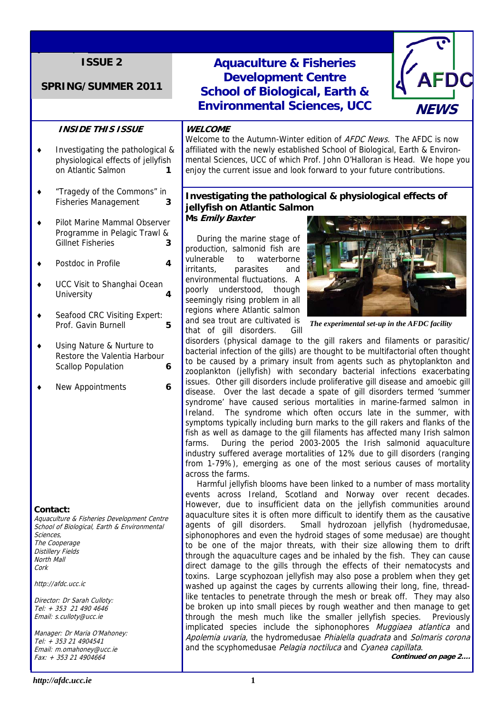# **SPRING/SUMMER 2011**

## **INSIDE THIS ISSUE**

- ♦ Investigating the pathological & physiological effects of jellyfish on Atlantic Salmon **1**
- ♦ "Tragedy of the Commons" in Fisheries Management **3**
- ♦ Pilot Marine Mammal Observer Programme in Pelagic Trawl & Gillnet Fisheries **3**
- ♦ Postdoc in Profile **4**
- ♦ UCC Visit to Shanghai Ocean University **4**
- ♦ Seafood CRC Visiting Expert: Prof. Gavin Burnell **5**
- ♦ Using Nature & Nurture to Restore the Valentia Harbour Scallop Population **6**
- ♦ New Appointments **6**

#### **Contact:**

Aquaculture & Fisheries Development Centre School of Biological, Earth & Environmental Sciences, The Cooperage Distillery Fields North Mall Cork

http://afdc.ucc.ic

Director: Dr Sarah Culloty: Tel: + 353 21 490 4646 Email: s.culloty@ucc.ie

Manager: Dr Maria O'Mahoney: Tel: + 353 21 4904541 Email: m.omahoney@ucc.ie Fax: + 353 21 4904664



#### **WELCOME**

Welcome to the Autumn-Winter edition of *AFDC News*. The AFDC is now affiliated with the newly established School of Biological, Earth & Environmental Sciences, UCC of which Prof. John O'Halloran is Head. We hope you enjoy the current issue and look forward to your future contributions.

# **Investigating the pathological & physiological effects of jellyfish on Atlantic Salmon**

**Ms Emily Baxter** 

During the marine stage of production, salmonid fish are vulnerable to waterborne irritants, parasites and environmental fluctuations. A poorly understood, though seemingly rising problem in all regions where Atlantic salmon and sea trout are cultivated is that of gill disorders. Gill



*The experimental set-up in the AFDC facility* 

disorders (physical damage to the gill rakers and filaments or parasitic/ bacterial infection of the gills) are thought to be multifactorial often thought to be caused by a primary insult from agents such as phytoplankton and zooplankton (jellyfish) with secondary bacterial infections exacerbating issues. Other gill disorders include proliferative gill disease and amoebic gill disease. Over the last decade a spate of gill disorders termed 'summer syndrome' have caused serious mortalities in marine-farmed salmon in Ireland. The syndrome which often occurs late in the summer, with symptoms typically including burn marks to the gill rakers and flanks of the fish as well as damage to the gill filaments has affected many Irish salmon farms. During the period 2003-2005 the Irish salmonid aquaculture industry suffered average mortalities of 12% due to gill disorders (ranging from 1-79%), emerging as one of the most serious causes of mortality across the farms.

 Harmful jellyfish blooms have been linked to a number of mass mortality events across Ireland, Scotland and Norway over recent decades. However, due to insufficient data on the jellyfish communities around aquaculture sites it is often more difficult to identify them as the causative agents of gill disorders. Small hydrozoan jellyfish (hydromedusae, siphonophores and even the hydroid stages of some medusae) are thought to be one of the major threats, with their size allowing them to drift through the aquaculture cages and be inhaled by the fish. They can cause direct damage to the gills through the effects of their nematocysts and toxins. Large scyphozoan jellyfish may also pose a problem when they get washed up against the cages by currents allowing their long, fine, threadlike tentacles to penetrate through the mesh or break off. They may also be broken up into small pieces by rough weather and then manage to get through the mesh much like the smaller jellyfish species. Previously implicated species include the siphonophores *Muggiaea atlantica* and Apolemia uvaria, the hydromedusae Phialella quadrata and Solmaris corona and the scyphomedusae Pelagia noctiluca and Cyanea capillata.

**Continued on page 2….**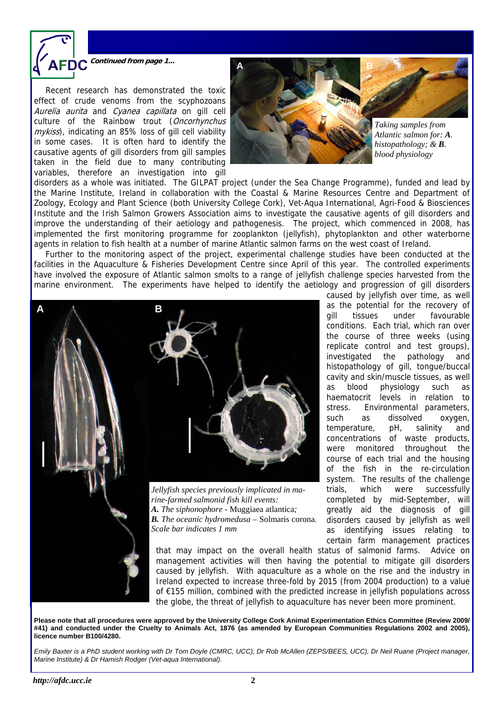

**Continued from page 1...** 

 Recent research has demonstrated the toxic effect of crude venoms from the scyphozoans Aurelia aurita and Cyanea capillata on gill cell culture of the Rainbow trout (Oncorhynchus mykiss), indicating an 85% loss of gill cell viability in some cases. It is often hard to identify the causative agents of gill disorders from gill samples taken in the field due to many contributing variables, therefore an investigation into gill



disorders as a whole was initiated. The GILPAT project (under the Sea Change Programme), funded and lead by the Marine Institute, Ireland in collaboration with the Coastal & Marine Resources Centre and Department of Zoology, Ecology and Plant Science (both University College Cork), Vet-Aqua International, Agri-Food & Biosciences Institute and the Irish Salmon Growers Association aims to investigate the causative agents of gill disorders and improve the understanding of their aetiology and pathogenesis. The project, which commenced in 2008, has implemented the first monitoring programme for zooplankton (jellyfish), phytoplankton and other waterborne agents in relation to fish health at a number of marine Atlantic salmon farms on the west coast of Ireland.

 Further to the monitoring aspect of the project, experimental challenge studies have been conducted at the facilities in the Aquaculture & Fisheries Development Centre since April of this year. The controlled experiments have involved the exposure of Atlantic salmon smolts to a range of jellyfish challenge species harvested from the marine environment. The experiments have helped to identify the aetiology and progression of gill disorders



gill tissues under favourable conditions. Each trial, which ran over the course of three weeks (using replicate control and test groups), investigated the pathology and histopathology of gill, tongue/buccal cavity and skin/muscle tissues, as well as blood physiology such as haematocrit levels in relation to stress. Environmental parameters, such as dissolved oxygen, temperature, pH, salinity and concentrations of waste products, were monitored throughout the course of each trial and the housing of the fish in the re-circulation system. The results of the challenge trials, which were successfully completed by mid-September, will greatly aid the diagnosis of gill disorders caused by jellyfish as well as identifying issues relating to certain farm management practices

caused by jellyfish over time, as well as the potential for the recovery of

that may impact on the overall health status of salmonid farms. Advice on management activities will then having the potential to mitigate gill disorders caused by jellyfish. With aquaculture as a whole on the rise and the industry in Ireland expected to increase three-fold by 2015 (from 2004 production) to a value of €155 million, combined with the predicted increase in jellyfish populations across the globe, the threat of jellyfish to aquaculture has never been more prominent.

**Please note that all procedures were approved by the University College Cork Animal Experimentation Ethics Committee (Review 2009/ #41) and conducted under the Cruelty to Animals Act, 1876 (as amended by European Communities Regulations 2002 and 2005), licence number B100/4280.** 

*Emily Baxter is a PhD student working with Dr Tom Doyle (CMRC, UCC), Dr Rob McAllen (ZEPS/BEES, UCC), Dr Neil Ruane (Project manager, Marine Institute) & Dr Hamish Rodger (Vet-aqua International).*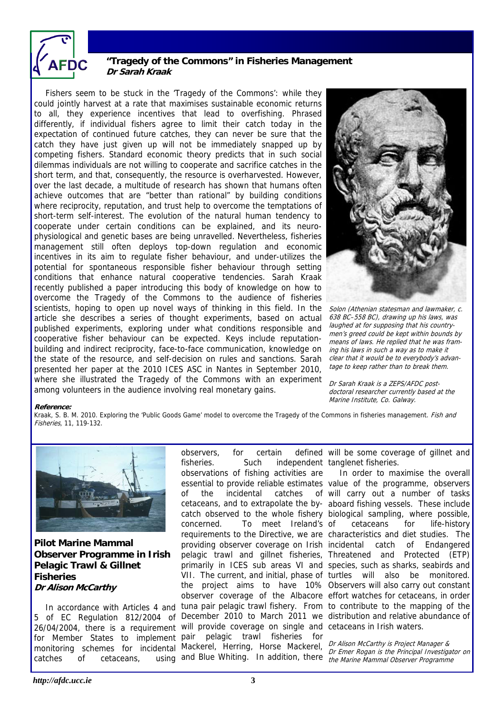

# **"Tragedy of the Commons" in Fisheries Management Dr Sarah Kraak**

 Fishers seem to be stuck in the 'Tragedy of the Commons': while they could jointly harvest at a rate that maximises sustainable economic returns to all, they experience incentives that lead to overfishing. Phrased differently, if individual fishers agree to limit their catch today in the expectation of continued future catches, they can never be sure that the catch they have just given up will not be immediately snapped up by competing fishers. Standard economic theory predicts that in such social dilemmas individuals are not willing to cooperate and sacrifice catches in the short term, and that, consequently, the resource is overharvested. However, over the last decade, a multitude of research has shown that humans often achieve outcomes that are "better than rational" by building conditions where reciprocity, reputation, and trust help to overcome the temptations of short-term self-interest. The evolution of the natural human tendency to cooperate under certain conditions can be explained, and its neurophysiological and genetic bases are being unravelled. Nevertheless, fisheries management still often deploys top-down regulation and economic incentives in its aim to regulate fisher behaviour, and under-utilizes the potential for spontaneous responsible fisher behaviour through setting conditions that enhance natural cooperative tendencies. Sarah Kraak recently published a paper introducing this body of knowledge on how to overcome the Tragedy of the Commons to the audience of fisheries scientists, hoping to open up novel ways of thinking in this field. In the article she describes a series of thought experiments, based on actual published experiments, exploring under what conditions responsible and cooperative fisher behaviour can be expected. Keys include reputationbuilding and indirect reciprocity, face-to-face communication, knowledge on the state of the resource, and self-decision on rules and sanctions. Sarah presented her paper at the 2010 ICES ASC in Nantes in September 2010, where she illustrated the Tragedy of the Commons with an experiment among volunteers in the audience involving real monetary gains.



Solon (Athenian statesman and lawmaker, c. 638 BC–558 BC), drawing up his laws, was laughed at for supposing that his countrymen's greed could be kept within bounds by means of laws. He replied that he was framing his laws in such a way as to make it clear that it would be to everybody's advantage to keep rather than to break them.

Dr Sarah Kraak is a ZEPS/AFDC postdoctoral researcher currently based at the Marine Institute, Co. Galway.

#### **Reference:**

Kraak, S. B. M. 2010. Exploring the 'Public Goods Game' model to overcome the Tragedy of the Commons in fisheries management. Fish and Fisheries, 11, 119-132.



**Pilot Marine Mammal Observer Programme in Irish Pelagic Trawl & Gillnet Fisheries Dr Alison McCarthy** 

catches of cetaceans,

In accordance with Articles 4 and tuna pair pelagic trawl fishery. From to contribute to the mapping of the 5 of EC Regulation 812/2004 of December 2010 to March 2011 we distribution and relative abundance of 26/04/2004, there is a requirement will provide coverage on single and cetaceans in Irish waters. for Member States to implement pair pelagic trawl fisheries for monitoring schemes for incidental Mackerel, Herring, Horse Mackerel, *Dr Alison McCarthy is Project Manager &*<br>monitoring schemes for incidental Mackerel, Herring, Horse Mackerel, *Dr Emer Rogan is the Principal Investiga* observers, for certain fisheries. Such independent tanglenet fisheries. observations of fishing activities are essential to provide reliable estimates value of the programme, observers of the incidental catches cetaceans, and to extrapolate the by-aboard fishing vessels. These include catch observed to the whole fishery biological sampling, where possible, concerned. To meet Ireland's requirements to the Directive, we are characteristics and diet studies. The providing observer coverage on Irish incidental catch of Endangered pelagic trawl and gillnet fisheries, Threatened and Protected (ETP) primarily in ICES sub areas VI and species, such as sharks, seabirds and VII. The current, and initial, phase of turtles will also be monitored. the project aims to have 10% Observers will also carry out constant observer coverage of the Albacore effort watches for cetaceans, in order

defined will be some coverage of gillnet and

 In order to maximise the overall of will carry out a number of tasks cetaceans for life-history

and Blue Whiting. In addition, there the Marine Mammal Observer Programme Dr Emer Rogan is the Principal Investigator on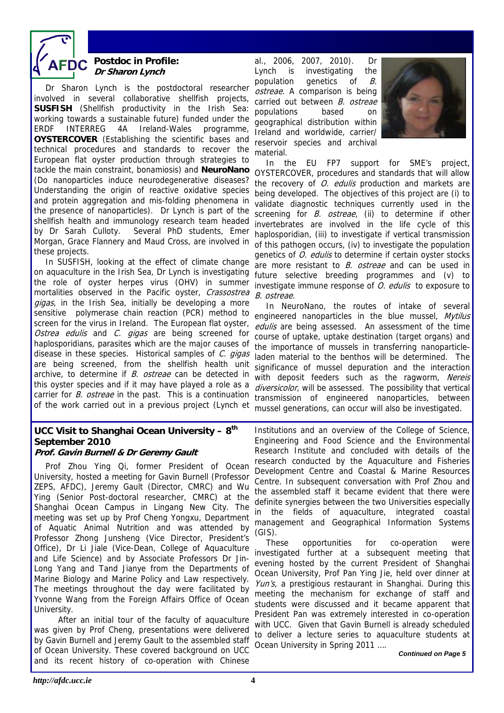

# **Postdoc in Profile: Dr Sharon Lynch**

Dr Sharon Lynch is the postdoctoral researcher involved in several collaborative shellfish projects, **SUSFISH** (Shellfish productivity in the Irish Sea: working towards a sustainable future) funded under the ERDF INTERREG 4A Ireland-Wales programme, **OYSTERCOVER** (Establishing the scientific bases and technical procedures and standards to recover the European flat oyster production through strategies to tackle the main constraint, bonamiosis) and **NeuroNano**  (Do nanoparticles induce neurodegenerative diseases? Understanding the origin of reactive oxidative species and protein aggregation and mis-folding phenomena in the presence of nanoparticles). Dr Lynch is part of the shellfish health and immunology research team headed by Dr Sarah Culloty. Several PhD students, Emer Morgan, Grace Flannery and Maud Cross, are involved in these projects.

 In SUSFISH, looking at the effect of climate change on aquaculture in the Irish Sea, Dr Lynch is investigating the role of oyster herpes virus (OHV) in summer mortalities observed in the Pacific oyster, Crassostrea gigas, in the Irish Sea, initially be developing a more sensitive polymerase chain reaction (PCR) method to screen for the virus in Ireland. The European flat oyster, Ostrea edulis and C. gigas are being screened for haplosporidians, parasites which are the major causes of disease in these species. Historical samples of  $C$ . gigas are being screened, from the shellfish health unit archive, to determine if B. ostreae can be detected in this oyster species and if it may have played a role as a carrier for *B. ostreae* in the past. This is a continuation of the work carried out in a previous project (Lynch et

# **UCC Visit to Shanghai Ocean University – 8th September 2010**

**Prof. Gavin Burnell & Dr Geremy Gault**  Prof Zhou Ying Qi, former President of Ocean University, hosted a meeting for Gavin Burnell (Professor ZEPS, AFDC), Jeremy Gault (Director, CMRC) and Wu Ying (Senior Post-doctoral researcher, CMRC) at the Shanghai Ocean Campus in Lingang New City. The meeting was set up by Prof Cheng Yongxu, Department of Aquatic Animal Nutrition and was attended by Professor Zhong Junsheng (Vice Director, President's Office), Dr Li Jiale (Vice-Dean, College of Aquaculture and Life Science) and by Associate Professors Dr Jin-Long Yang and Tand Jianye from the Departments of Marine Biology and Marine Policy and Law respectively. The meetings throughout the day were facilitated by Yvonne Wang from the Foreign Affairs Office of Ocean University.

 After an initial tour of the faculty of aquaculture was given by Prof Cheng, presentations were delivered by Gavin Burnell and Jeremy Gault to the assembled staff of Ocean University. These covered background on UCC and its recent history of co-operation with Chinese

al., 2006, 2007, 2010). Dr Lynch is investigating the population genetics of B. ostreae. A comparison is being carried out between B. ostreae populations based on geographical distribution within Ireland and worldwide, carrier/ reservoir species and archival material.



 In the EU FP7 support for SME's project, OYSTERCOVER, procedures and standards that will allow the recovery of O. edulis production and markets are being developed. The objectives of this project are (i) to validate diagnostic techniques currently used in the screening for *B. ostreae*, (ii) to determine if other invertebrates are involved in the life cycle of this haplosporidian, (iii) to investigate if vertical transmission of this pathogen occurs, (iv) to investigate the population genetics of *O. edulis* to determine if certain oyster stocks are more resistant to *B. ostreae* and can be used in future selective breeding programmes and (v) to investigate immune response of *O. edulis* to exposure to B. ostreae.

 In NeuroNano, the routes of intake of several engineered nanoparticles in the blue mussel, Mytilus edulis are being assessed. An assessment of the time course of uptake, uptake destination (target organs) and the importance of mussels in transferring nanoparticleladen material to the benthos will be determined. The significance of mussel depuration and the interaction with deposit feeders such as the ragworm, Nereis diversicolor, will be assessed. The possibility that vertical transmission of engineered nanoparticles, between mussel generations, can occur will also be investigated.

Institutions and an overview of the College of Science, Engineering and Food Science and the Environmental Research Institute and concluded with details of the research conducted by the Aquaculture and Fisheries Development Centre and Coastal & Marine Resources Centre. In subsequent conversation with Prof Zhou and the assembled staff it became evident that there were definite synergies between the two Universities especially in the fields of aquaculture, integrated coastal management and Geographical Information Systems (GIS).

 These opportunities for co-operation were investigated further at a subsequent meeting that evening hosted by the current President of Shanghai Ocean University, Prof Pan Ying Jie, held over dinner at Yun's, a prestigious restaurant in Shanghai. During this meeting the mechanism for exchange of staff and students were discussed and it became apparent that President Pan was extremely interested in co-operation with UCC. Given that Gavin Burnell is already scheduled to deliver a lecture series to aquaculture students at Ocean University in Spring 2011 ….

*Continued on Page 5*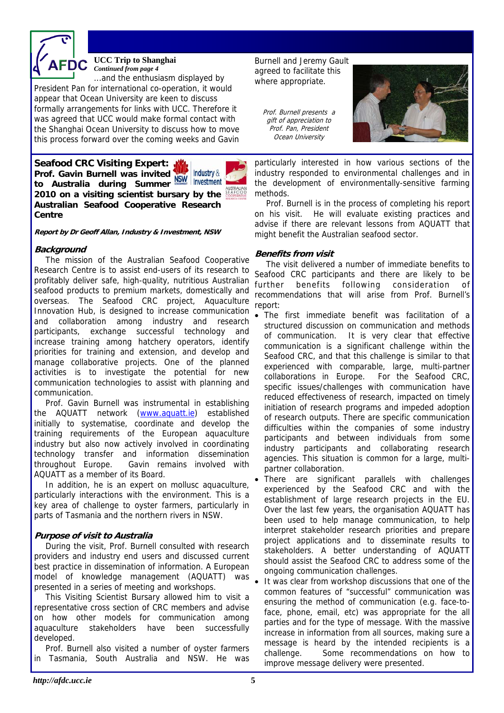

#### **UCC Trip to Shanghai**  *Continued from page 4*

...and the enthusiasm displayed by President Pan for international co-operation, it would appear that Ocean University are keen to discuss formally arrangements for links with UCC. Therefore it was agreed that UCC would make formal contact with the Shanghai Ocean University to discuss how to move this process forward over the coming weeks and Gavin

**Seafood CRC Visiting Expert: Prof. Gavin Burnell was invited to Australia during Summer 2010 on a visiting scientist bursary by the Australian Seafood Cooperative Research Centre** 



**Report by Dr Geoff Allan, Industry & Investment, NSW** 

### **Background**

 The mission of the Australian Seafood Cooperative Research Centre is to assist end-users of its research to profitably deliver safe, high-quality, nutritious Australian seafood products to premium markets, domestically and overseas. The Seafood CRC project, Aquaculture Innovation Hub, is designed to increase communication and collaboration among industry and research participants, exchange successful technology and increase training among hatchery operators, identify priorities for training and extension, and develop and manage collaborative projects. One of the planned activities is to investigate the potential for new communication technologies to assist with planning and communication.

Prof. Gavin Burnell was instrumental in establishing the AQUATT network (www.aquatt.ie) established initially to systematise, coordinate and develop the training requirements of the European aquaculture industry but also now actively involved in coordinating technology transfer and information dissemination throughout Europe. Gavin remains involved with AQUATT as a member of its Board.

In addition, he is an expert on mollusc aquaculture, particularly interactions with the environment. This is a key area of challenge to oyster farmers, particularly in parts of Tasmania and the northern rivers in NSW.

## **Purpose of visit to Australia**

 During the visit, Prof. Burnell consulted with research providers and industry end users and discussed current best practice in dissemination of information. A European model of knowledge management (AQUATT) was presented in a series of meeting and workshops.

 This Visiting Scientist Bursary allowed him to visit a representative cross section of CRC members and advise on how other models for communication among aquaculture stakeholders have been successfully developed.

 Prof. Burnell also visited a number of oyster farmers in Tasmania, South Australia and NSW. He was

Burnell and Jeremy Gault agreed to facilitate this where appropriate.

Prof. Burnell presents a gift of appreciation to Prof. Pan, President Ocean University



particularly interested in how various sections of the industry responded to environmental challenges and in the development of environmentally-sensitive farming methods.

 Prof. Burnell is in the process of completing his report on his visit. He will evaluate existing practices and advise if there are relevant lessons from AQUATT that might benefit the Australian seafood sector.

### **Benefits from visit**

 The visit delivered a number of immediate benefits to Seafood CRC participants and there are likely to be further benefits following consideration of recommendations that will arise from Prof. Burnell's report:

- The first immediate benefit was facilitation of a structured discussion on communication and methods of communication. It is very clear that effective communication is a significant challenge within the Seafood CRC, and that this challenge is similar to that experienced with comparable, large, multi-partner collaborations in Europe. For the Seafood CRC, specific issues/challenges with communication have reduced effectiveness of research, impacted on timely initiation of research programs and impeded adoption of research outputs. There are specific communication difficulties within the companies of some industry participants and between individuals from some industry participants and collaborating research agencies. This situation is common for a large, multipartner collaboration.
- There are significant parallels with challenges experienced by the Seafood CRC and with the establishment of large research projects in the EU. Over the last few years, the organisation AQUATT has been used to help manage communication, to help interpret stakeholder research priorities and prepare project applications and to disseminate results to stakeholders. A better understanding of AQUATT should assist the Seafood CRC to address some of the ongoing communication challenges.
- It was clear from workshop discussions that one of the common features of "successful" communication was ensuring the method of communication (e.g. face-toface, phone, email, etc) was appropriate for the all parties and for the type of message. With the massive increase in information from all sources, making sure a message is heard by the intended recipients is a challenge. Some recommendations on how to improve message delivery were presented.